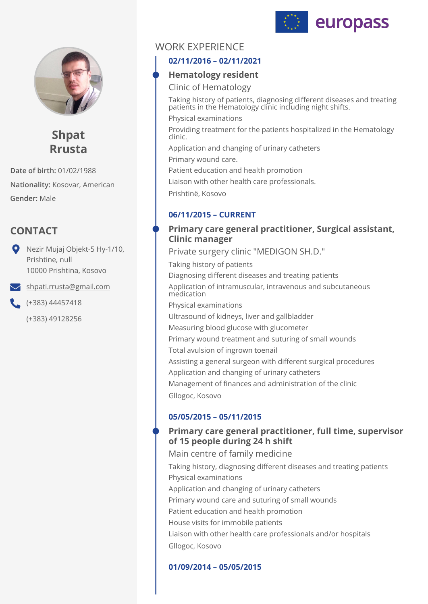



**Shpat Rrusta**

**Date of birth:** 01/02/1988 **Nationality:** Kosovar, American **Gender:** Male

# **CONTACT**

Nezir Mujaj Objekt-5 Hy-1/10, Prishtine, null 10000 Prishtina, Kosovo

 $\blacktriangleright$  [shpati.rrusta@gmail.com](mailto:shpati.rrusta@gmail.com)

(+383) 44457418

(+383) 49128256

# WORK EXPERIENCE

## **02/11/2016 – 02/11/2021**

## **Hematology resident**

Clinic of Hematology

Taking history of patients, diagnosing different diseases and treating patients in the Hematology clinic including night shifts.

Physical examinations

Providing treatment for the patients hospitalized in the Hematology clinic.

Application and changing of urinary catheters

Primary wound care.

Patient education and health promotion

Liaison with other health care professionals.

Prishtinë, Kosovo

## **06/11/2015 – CURRENT**

## **Primary care general practitioner, Surgical assistant, Clinic manager**

Taking history of patients Diagnosing different diseases and treating patients Application of intramuscular, intravenous and subcutaneous medication Physical examinations Ultrasound of kidneys, liver and gallbladder Measuring blood glucose with glucometer Primary wound treatment and suturing of small wounds Total avulsion of ingrown toenail Assisting a general surgeon with different surgical procedures Application and changing of urinary catheters Management of finances and administration of the clinic Gllogoc, Kosovo Private surgery clinic "MEDIGON SH.D."

## **05/05/2015 – 05/11/2015**

## **Primary care general practitioner, full time, supervisor of 15 people during 24 h shift**

Taking history, diagnosing different diseases and treating patients Physical examinations Application and changing of urinary catheters Primary wound care and suturing of small wounds Patient education and health promotion House visits for immobile patients Liaison with other health care professionals and/or hospitals Gllogoc, Kosovo Main centre of family medicine

## **01/09/2014 – 05/05/2015**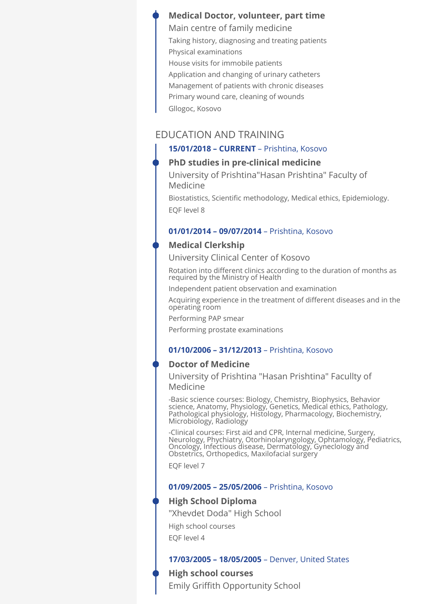### **Medical Doctor, volunteer, part time**

Taking history, diagnosing and treating patients Physical examinations House visits for immobile patients Application and changing of urinary catheters Management of patients with chronic diseases Primary wound care, cleaning of wounds Gllogoc, Kosovo Main centre of family medicine

### EDUCATION AND TRAINING

### **15/01/2018 – CURRENT** – Prishtina, Kosovo

#### **PhD studies in pre-clinical medicine**

University of Prishtina"Hasan Prishtina" Faculty of Medicine

Biostatistics, Scientific methodology, Medical ethics, Epidemiology. EQF level 8

#### **01/01/2014 – 09/07/2014** – Prishtina, Kosovo

#### **Medical Clerkship**

University Clinical Center of Kosovo

Rotation into different clinics according to the duration of months as required by the Ministry of Health

Independent patient observation and examination

Acquiring experience in the treatment of different diseases and in the operating room

Performing PAP smear

Performing prostate examinations

#### **01/10/2006 – 31/12/2013** – Prishtina, Kosovo

### **Doctor of Medicine**

University of Prishtina "Hasan Prishtina" Facullty of Medicine

-Basic science courses: Biology, Chemistry, Biophysics, Behavior science, Anatomy, Physiology, Genetics, Medical ethics, Pathology, Pathological physiology, Histology, Pharmacology, Biochemistry, Microbiology, Radiology

-Clinical courses: First aid and CPR, Internal medicine, Surgery, Neurology, Phychiatry, Otorhinolaryngology, Ophtamology, Pediatrics, Oncology, Infectious disease, Dermatology, Gyneclology and Obstetrics, Orthopedics, Maxilofacial surgery

EQF level 7

#### **01/09/2005 – 25/05/2006** – Prishtina, Kosovo

### **High School Diploma**

High school courses EQF level 4 "Xhevdet Doda" High School

#### **17/03/2005 – 18/05/2005** – Denver, United States

### **High school courses**

Emily Griffith Opportunity School